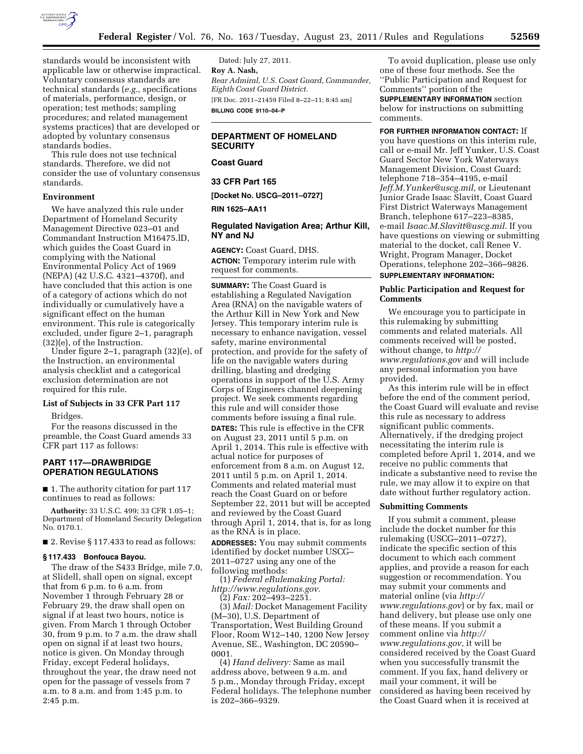

standards would be inconsistent with applicable law or otherwise impractical. Voluntary consensus standards are technical standards (*e.g.,* specifications of materials, performance, design, or operation; test methods; sampling procedures; and related management systems practices) that are developed or adopted by voluntary consensus standards bodies.

This rule does not use technical standards. Therefore, we did not consider the use of voluntary consensus standards.

## **Environment**

We have analyzed this rule under Department of Homeland Security Management Directive 023–01 and Commandant Instruction M16475.lD, which guides the Coast Guard in complying with the National Environmental Policy Act of 1969 (NEPA) (42 U.S.C. 4321–4370f), and have concluded that this action is one of a category of actions which do not individually or cumulatively have a significant effect on the human environment. This rule is categorically excluded, under figure 2–1, paragraph (32)(e), of the Instruction.

Under figure 2–1, paragraph (32)(e), of the Instruction, an environmental analysis checklist and a categorical exclusion determination are not required for this rule.

### **List of Subjects in 33 CFR Part 117**

Bridges.

For the reasons discussed in the preamble, the Coast Guard amends 33 CFR part 117 as follows:

# **PART 117—DRAWBRIDGE OPERATION REGULATIONS**

■ 1. The authority citation for part 117 continues to read as follows:

**Authority:** 33 U.S.C. 499; 33 CFR 1.05–1; Department of Homeland Security Delegation No. 0170.1.

■ 2. Revise § 117.433 to read as follows:

### **§ 117.433 Bonfouca Bayou.**

The draw of the S433 Bridge, mile 7.0, at Slidell, shall open on signal, except that from 6 p.m. to 6 a.m. from November 1 through February 28 or February 29, the draw shall open on signal if at least two hours, notice is given. From March 1 through October 30, from 9 p.m. to 7 a.m. the draw shall open on signal if at least two hours, notice is given. On Monday through Friday, except Federal holidays, throughout the year, the draw need not open for the passage of vessels from 7 a.m. to 8 a.m. and from 1:45 p.m. to 2:45 p.m.

Dated: July 27, 2011. **Roy A. Nash,**  *Rear Admiral, U.S. Coast Guard, Commander, Eighth Coast Guard District.*  [FR Doc. 2011–21459 Filed 8–22–11; 8:45 am] **BILLING CODE 9110–04–P** 

# **DEPARTMENT OF HOMELAND SECURITY**

**Coast Guard** 

**33 CFR Part 165** 

**[Docket No. USCG–2011–0727]** 

#### **RIN 1625–AA11**

# **Regulated Navigation Area; Arthur Kill, NY and NJ**

**AGENCY:** Coast Guard, DHS. **ACTION:** Temporary interim rule with request for comments.

**SUMMARY:** The Coast Guard is establishing a Regulated Navigation Area (RNA) on the navigable waters of the Arthur Kill in New York and New Jersey. This temporary interim rule is necessary to enhance navigation, vessel safety, marine environmental protection, and provide for the safety of life on the navigable waters during drilling, blasting and dredging operations in support of the U.S. Army Corps of Engineers channel deepening project. We seek comments regarding this rule and will consider those comments before issuing a final rule. **DATES:** This rule is effective in the CFR on August 23, 2011 until 5 p.m. on April 1, 2014. This rule is effective with actual notice for purposes of enforcement from 8 a.m. on August 12, 2011 until 5 p.m. on April 1, 2014. Comments and related material must reach the Coast Guard on or before September 22, 2011 but will be accepted and reviewed by the Coast Guard through April 1, 2014, that is, for as long as the RNA is in place.

**ADDRESSES:** You may submit comments identified by docket number USCG– 2011–0727 using any one of the following methods:

(1) *Federal eRulemaking Portal: [http://www.regulations.gov.](http://www.regulations.gov)* 

(2) *Fax:* 202–493–2251.

(3) *Mail:* Docket Management Facility (M–30), U.S. Department of Transportation, West Building Ground Floor, Room W12–140, 1200 New Jersey Avenue, SE., Washington, DC 20590– 0001.

(4) *Hand delivery:* Same as mail address above, between 9 a.m. and 5 p.m., Monday through Friday, except Federal holidays. The telephone number is 202–366–9329.

To avoid duplication, please use only one of these four methods. See the ''Public Participation and Request for Comments'' portion of the

**SUPPLEMENTARY INFORMATION** section below for instructions on submitting comments.

**FOR FURTHER INFORMATION CONTACT:** If you have questions on this interim rule, call or e-mail Mr. Jeff Yunker, U.S. Coast Guard Sector New York Waterways Management Division, Coast Guard; telephone 718–354–4195, e-mail *[Jeff.M.Yunker@uscg.mil,](mailto:Jeff.M.Yunker@uscg.mil)* or Lieutenant Junior Grade Isaac Slavitt, Coast Guard First District Waterways Management Branch, telephone 617–223–8385, e-mail *[Isaac.M.Slavitt@uscg.mil.](mailto:Isaac.M.Slavitt@uscg.mil)* If you have questions on viewing or submitting material to the docket, call Renee V. Wright, Program Manager, Docket Operations, telephone 202–366–9826.

### **SUPPLEMENTARY INFORMATION:**

### **Public Participation and Request for Comments**

We encourage you to participate in this rulemaking by submitting comments and related materials. All comments received will be posted, without change, to *[http://](http://www.regulations.gov)  [www.regulations.gov](http://www.regulations.gov)* and will include any personal information you have provided.

As this interim rule will be in effect before the end of the comment period, the Coast Guard will evaluate and revise this rule as necessary to address significant public comments. Alternatively, if the dredging project necessitating the interim rule is completed before April 1, 2014, and we receive no public comments that indicate a substantive need to revise the rule, we may allow it to expire on that date without further regulatory action.

### **Submitting Comments**

If you submit a comment, please include the docket number for this rulemaking (USCG–2011–0727), indicate the specific section of this document to which each comment applies, and provide a reason for each suggestion or recommendation. You may submit your comments and material online (via *[http://](http://www.regulations.gov)  [www.regulations.gov](http://www.regulations.gov)*) or by fax, mail or hand delivery, but please use only one of these means. If you submit a comment online via *[http://](http://www.regulations.gov) [www.regulations.gov,](http://www.regulations.gov)* it will be considered received by the Coast Guard when you successfully transmit the comment. If you fax, hand delivery or mail your comment, it will be considered as having been received by the Coast Guard when it is received at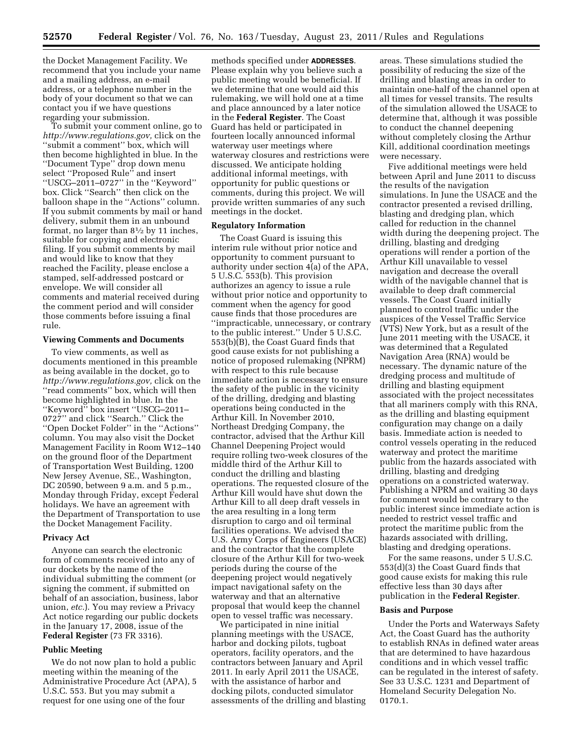the Docket Management Facility. We recommend that you include your name and a mailing address, an e-mail address, or a telephone number in the body of your document so that we can contact you if we have questions regarding your submission.

To submit your comment online, go to *[http://www.regulations.gov,](http://www.regulations.gov)* click on the ''submit a comment'' box, which will then become highlighted in blue. In the ''Document Type'' drop down menu select ''Proposed Rule'' and insert ''USCG–2011–0727'' in the ''Keyword'' box. Click ''Search'' then click on the balloon shape in the ''Actions'' column. If you submit comments by mail or hand delivery, submit them in an unbound format, no larger than 81⁄2 by 11 inches, suitable for copying and electronic filing. If you submit comments by mail and would like to know that they reached the Facility, please enclose a stamped, self-addressed postcard or envelope. We will consider all comments and material received during the comment period and will consider those comments before issuing a final rule.

## **Viewing Comments and Documents**

To view comments, as well as documents mentioned in this preamble as being available in the docket, go to *[http://www.regulations.gov,](http://www.regulations.gov)* click on the ''read comments'' box, which will then become highlighted in blue. In the ''Keyword'' box insert ''USCG–2011– 0727'' and click ''Search.'' Click the ''Open Docket Folder'' in the ''Actions'' column. You may also visit the Docket Management Facility in Room W12–140 on the ground floor of the Department of Transportation West Building, 1200 New Jersey Avenue, SE., Washington, DC 20590, between 9 a.m. and 5 p.m., Monday through Friday, except Federal holidays. We have an agreement with the Department of Transportation to use the Docket Management Facility.

### **Privacy Act**

Anyone can search the electronic form of comments received into any of our dockets by the name of the individual submitting the comment (or signing the comment, if submitted on behalf of an association, business, labor union, *etc.*). You may review a Privacy Act notice regarding our public dockets in the January 17, 2008, issue of the **Federal Register** (73 FR 3316).

### **Public Meeting**

We do not now plan to hold a public meeting within the meaning of the Administrative Procedure Act (APA), 5 U.S.C. 553. But you may submit a request for one using one of the four

methods specified under **ADDRESSES**. Please explain why you believe such a public meeting would be beneficial. If we determine that one would aid this rulemaking, we will hold one at a time and place announced by a later notice in the **Federal Register**. The Coast Guard has held or participated in fourteen locally announced informal waterway user meetings where waterway closures and restrictions were discussed. We anticipate holding additional informal meetings, with opportunity for public questions or comments, during this project. We will provide written summaries of any such meetings in the docket.

# **Regulatory Information**

The Coast Guard is issuing this interim rule without prior notice and opportunity to comment pursuant to authority under section  $\overline{4(a)}$  of the APA, 5 U.S.C. 553(b). This provision authorizes an agency to issue a rule without prior notice and opportunity to comment when the agency for good cause finds that those procedures are ''impracticable, unnecessary, or contrary to the public interest.'' Under 5 U.S.C. 553(b)(B), the Coast Guard finds that good cause exists for not publishing a notice of proposed rulemaking (NPRM) with respect to this rule because immediate action is necessary to ensure the safety of the public in the vicinity of the drilling, dredging and blasting operations being conducted in the Arthur Kill. In November 2010, Northeast Dredging Company, the contractor, advised that the Arthur Kill Channel Deepening Project would require rolling two-week closures of the middle third of the Arthur Kill to conduct the drilling and blasting operations. The requested closure of the Arthur Kill would have shut down the Arthur Kill to all deep draft vessels in the area resulting in a long term disruption to cargo and oil terminal facilities operations. We advised the U.S. Army Corps of Engineers (USACE) and the contractor that the complete closure of the Arthur Kill for two-week periods during the course of the deepening project would negatively impact navigational safety on the waterway and that an alternative proposal that would keep the channel open to vessel traffic was necessary.

We participated in nine initial planning meetings with the USACE, harbor and docking pilots, tugboat operators, facility operators, and the contractors between January and April 2011. In early April 2011 the USACE, with the assistance of harbor and docking pilots, conducted simulator assessments of the drilling and blasting areas. These simulations studied the possibility of reducing the size of the drilling and blasting areas in order to maintain one-half of the channel open at all times for vessel transits. The results of the simulation allowed the USACE to determine that, although it was possible to conduct the channel deepening without completely closing the Arthur Kill, additional coordination meetings were necessary.

Five additional meetings were held between April and June 2011 to discuss the results of the navigation simulations. In June the USACE and the contractor presented a revised drilling, blasting and dredging plan, which called for reduction in the channel width during the deepening project. The drilling, blasting and dredging operations will render a portion of the Arthur Kill unavailable to vessel navigation and decrease the overall width of the navigable channel that is available to deep draft commercial vessels. The Coast Guard initially planned to control traffic under the auspices of the Vessel Traffic Service (VTS) New York, but as a result of the June 2011 meeting with the USACE, it was determined that a Regulated Navigation Area (RNA) would be necessary. The dynamic nature of the dredging process and multitude of drilling and blasting equipment associated with the project necessitates that all mariners comply with this RNA, as the drilling and blasting equipment configuration may change on a daily basis. Immediate action is needed to control vessels operating in the reduced waterway and protect the maritime public from the hazards associated with drilling, blasting and dredging operations on a constricted waterway. Publishing a NPRM and waiting 30 days for comment would be contrary to the public interest since immediate action is needed to restrict vessel traffic and protect the maritime public from the hazards associated with drilling, blasting and dredging operations.

For the same reasons, under 5 U.S.C. 553(d)(3) the Coast Guard finds that good cause exists for making this rule effective less than 30 days after publication in the **Federal Register**.

## **Basis and Purpose**

Under the Ports and Waterways Safety Act, the Coast Guard has the authority to establish RNAs in defined water areas that are determined to have hazardous conditions and in which vessel traffic can be regulated in the interest of safety. See 33 U.S.C. 1231 and Department of Homeland Security Delegation No. 0170.1.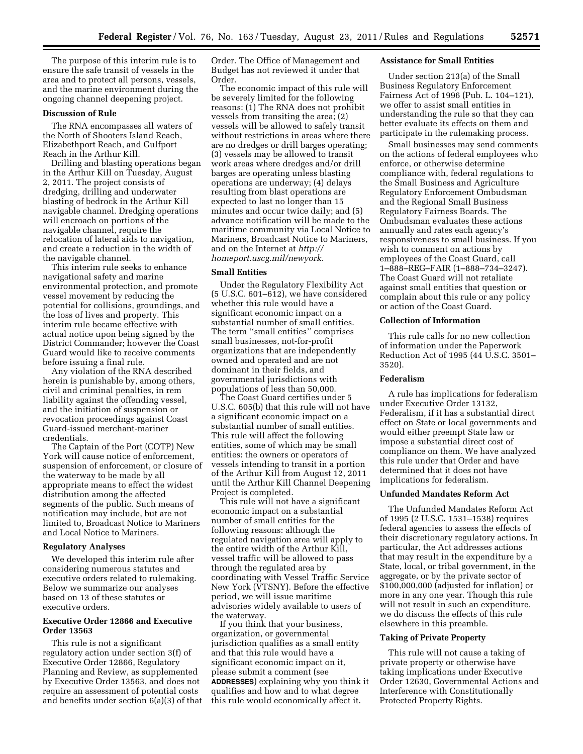The purpose of this interim rule is to ensure the safe transit of vessels in the area and to protect all persons, vessels, and the marine environment during the ongoing channel deepening project.

## **Discussion of Rule**

The RNA encompasses all waters of the North of Shooters Island Reach, Elizabethport Reach, and Gulfport Reach in the Arthur Kill.

Drilling and blasting operations began in the Arthur Kill on Tuesday, August 2, 2011. The project consists of dredging, drilling and underwater blasting of bedrock in the Arthur Kill navigable channel. Dredging operations will encroach on portions of the navigable channel, require the relocation of lateral aids to navigation, and create a reduction in the width of the navigable channel.

This interim rule seeks to enhance navigational safety and marine environmental protection, and promote vessel movement by reducing the potential for collisions, groundings, and the loss of lives and property. This interim rule became effective with actual notice upon being signed by the District Commander; however the Coast Guard would like to receive comments before issuing a final rule.

Any violation of the RNA described herein is punishable by, among others, civil and criminal penalties, in rem liability against the offending vessel, and the initiation of suspension or revocation proceedings against Coast Guard-issued merchant-mariner credentials.

The Captain of the Port (COTP) New York will cause notice of enforcement, suspension of enforcement, or closure of the waterway to be made by all appropriate means to effect the widest distribution among the affected segments of the public. Such means of notification may include, but are not limited to, Broadcast Notice to Mariners and Local Notice to Mariners.

#### **Regulatory Analyses**

We developed this interim rule after considering numerous statutes and executive orders related to rulemaking. Below we summarize our analyses based on 13 of these statutes or executive orders.

# **Executive Order 12866 and Executive Order 13563**

This rule is not a significant regulatory action under section 3(f) of Executive Order 12866, Regulatory Planning and Review, as supplemented by Executive Order 13563, and does not require an assessment of potential costs and benefits under section 6(a)(3) of that Order. The Office of Management and Budget has not reviewed it under that Order.

The economic impact of this rule will be severely limited for the following reasons: (1) The RNA does not prohibit vessels from transiting the area; (2) vessels will be allowed to safely transit without restrictions in areas where there are no dredges or drill barges operating; (3) vessels may be allowed to transit work areas where dredges and/or drill barges are operating unless blasting operations are underway; (4) delays resulting from blast operations are expected to last no longer than 15 minutes and occur twice daily; and (5) advance notification will be made to the maritime community via Local Notice to Mariners, Broadcast Notice to Mariners, and on the Internet at *[http://](http://homeport.uscg.mil/newyork)  [homeport.uscg.mil/newyork.](http://homeport.uscg.mil/newyork)* 

# **Small Entities**

Under the Regulatory Flexibility Act (5 U.S.C. 601–612), we have considered whether this rule would have a significant economic impact on a substantial number of small entities. The term ''small entities'' comprises small businesses, not-for-profit organizations that are independently owned and operated and are not dominant in their fields, and governmental jurisdictions with populations of less than 50,000.

The Coast Guard certifies under 5 U.S.C. 605(b) that this rule will not have a significant economic impact on a substantial number of small entities. This rule will affect the following entities, some of which may be small entities: the owners or operators of vessels intending to transit in a portion of the Arthur Kill from August 12, 2011 until the Arthur Kill Channel Deepening Project is completed.

This rule will not have a significant economic impact on a substantial number of small entities for the following reasons: although the regulated navigation area will apply to the entire width of the Arthur Kill, vessel traffic will be allowed to pass through the regulated area by coordinating with Vessel Traffic Service New York (VTSNY). Before the effective period, we will issue maritime advisories widely available to users of the waterway.

If you think that your business, organization, or governmental jurisdiction qualifies as a small entity and that this rule would have a significant economic impact on it, please submit a comment (see **ADDRESSES**) explaining why you think it qualifies and how and to what degree this rule would economically affect it.

## **Assistance for Small Entities**

Under section 213(a) of the Small Business Regulatory Enforcement Fairness Act of 1996 (Pub. L. 104–121), we offer to assist small entities in understanding the rule so that they can better evaluate its effects on them and participate in the rulemaking process.

Small businesses may send comments on the actions of federal employees who enforce, or otherwise determine compliance with, federal regulations to the Small Business and Agriculture Regulatory Enforcement Ombudsman and the Regional Small Business Regulatory Fairness Boards. The Ombudsman evaluates these actions annually and rates each agency's responsiveness to small business. If you wish to comment on actions by employees of the Coast Guard, call 1–888–REG–FAIR (1–888–734–3247). The Coast Guard will not retaliate against small entities that question or complain about this rule or any policy or action of the Coast Guard.

#### **Collection of Information**

This rule calls for no new collection of information under the Paperwork Reduction Act of 1995 (44 U.S.C. 3501– 3520).

### **Federalism**

A rule has implications for federalism under Executive Order 13132, Federalism, if it has a substantial direct effect on State or local governments and would either preempt State law or impose a substantial direct cost of compliance on them. We have analyzed this rule under that Order and have determined that it does not have implications for federalism.

#### **Unfunded Mandates Reform Act**

The Unfunded Mandates Reform Act of 1995 (2 U.S.C. 1531–1538) requires federal agencies to assess the effects of their discretionary regulatory actions. In particular, the Act addresses actions that may result in the expenditure by a State, local, or tribal government, in the aggregate, or by the private sector of \$100,000,000 (adjusted for inflation) or more in any one year. Though this rule will not result in such an expenditure, we do discuss the effects of this rule elsewhere in this preamble.

### **Taking of Private Property**

This rule will not cause a taking of private property or otherwise have taking implications under Executive Order 12630, Governmental Actions and Interference with Constitutionally Protected Property Rights.